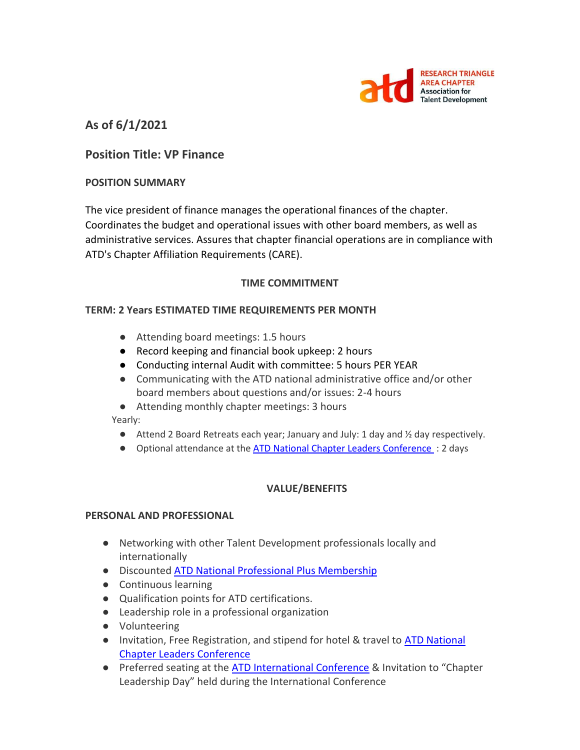

**As of 6/1/2021**

## **Position Title: VP Finance**

### **POSITION SUMMARY**

The vice president of finance manages the operational finances of the chapter. Coordinates the budget and operational issues with other board members, as well as administrative services. Assures that chapter financial operations are in compliance with ATD's Chapter Affiliation Requirements (CARE).

#### **TIME COMMITMENT**

### **TERM: 2 Years ESTIMATED TIME REQUIREMENTS PER MONTH**

- Attending board meetings: 1.5 hours
- Record keeping and financial book upkeep: 2 hours
- Conducting internal Audit with committee: 5 hours PER YEAR
- Communicating with the ATD national administrative office and/or other board members about questions and/or issues: 2-4 hours
- Attending monthly chapter meetings: 3 hours

Yearly:

- Attend 2 Board Retreats each year; January and July: 1 day and  $\frac{1}{2}$  day respectively.
- Optional attendance at the **ATD National Chapter Leaders Conference** : 2 days

### **VALUE/BENEFITS**

#### **PERSONAL AND PROFESSIONAL**

- Networking with other Talent Development professionals locally and internationally
- Discounted [ATD National Professional Plus Membership](https://checkout.td.org/Membership)
- Continuous learning
- Qualification points for ATD certifications.
- Leadership role in a professional organization
- Volunteering
- Invitation, Free Registration, and stipend for hotel & travel to ATD National [Chapter Leaders Conference](https://events.td.org/Chapter-Leaders-Conference)
- Preferred seating at the [ATD International Conference](https://www.td.org/events) & Invitation to "Chapter Leadership Day" held during the International Conference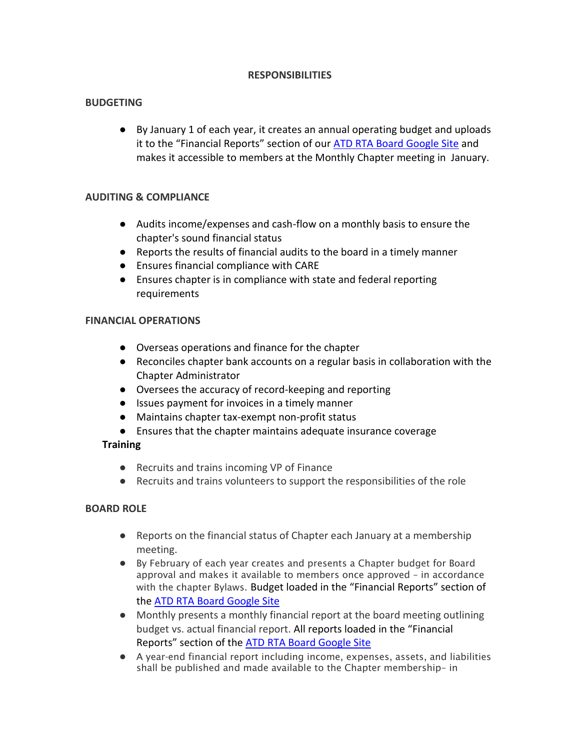### **RESPONSIBILITIES**

### **BUDGETING**

● By January 1 of each year, it creates an annual operating budget and uploads it to the "Financial Reports" section of our [ATD RTA Board Google Site](https://sites.google.com/site/rtaboardofdirectors/home) and makes it accessible to members at the Monthly Chapter meeting in January.

### **AUDITING & COMPLIANCE**

- Audits income/expenses and cash-flow on a monthly basis to ensure the chapter's sound financial status
- Reports the results of financial audits to the board in a timely manner
- Ensures financial compliance with CARE
- Ensures chapter is in compliance with state and federal reporting requirements

### **FINANCIAL OPERATIONS**

- Overseas operations and finance for the chapter
- Reconciles chapter bank accounts on a regular basis in collaboration with the Chapter Administrator
- Oversees the accuracy of record-keeping and reporting
- Issues payment for invoices in a timely manner
- Maintains chapter tax-exempt non-profit status
- Ensures that the chapter maintains adequate insurance coverage

### **Training**

- Recruits and trains incoming VP of Finance
- Recruits and trains volunteers to support the responsibilities of the role

### **BOARD ROLE**

- Reports on the financial status of Chapter each January at a membership meeting.
- By February of each year creates and presents a Chapter budget for Board approval and makes it available to members once approved – in accordance with the chapter Bylaws. Budget loaded in the "Financial Reports" section of the [ATD RTA Board Google Site](https://sites.google.com/site/rtaboardofdirectors/home)
- Monthly presents a monthly financial report at the board meeting outlining budget vs. actual financial report. All reports loaded in the "Financial Reports" section of the [ATD RTA Board Google Site](https://sites.google.com/site/rtaboardofdirectors/home)
- A year-end financial report including income, expenses, assets, and liabilities shall be published and made available to the Chapter membership– in